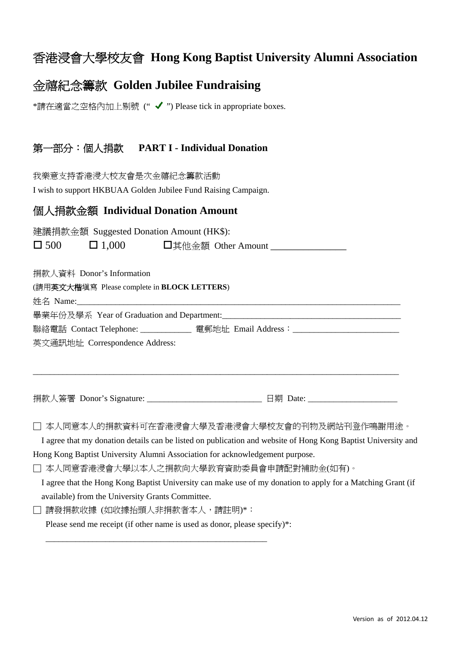## 香港浸會大學校友會 **Hong Kong Baptist University Alumni Association**

## 金禧紀念籌款 **Golden Jubilee Fundraising**

\*請在適當之空格內加上剔號 (" ✔ ") Please tick in appropriate boxes.

### 第一部分:個人捐款 **PART I - Individual Donation**

我樂意支持香港浸大校友會是次金禧紀念籌款活動 I wish to support HKBUAA Golden Jubilee Fund Raising Campaign.

### 個人捐款金額 **Individual Donation Amount**

建議捐款金額 Suggested Donation Amount (HK\$):  $\Box$  500  $\Box$  1,000  $\Box$  其他金額 Other Amount  $\Box$ 

捐款人資料 Donor's Information

(請用英文大楷填寫 Please complete in **BLOCK LETTERS**)

姓名 Name:

畢業年份及學系 Year of Graduation and Department:\_\_\_\_\_\_\_\_\_

聯絡電話 Contact Telephone: \_\_\_\_\_\_\_\_\_\_\_\_\_ 電郵地址 Email Address: \_\_\_\_\_\_\_\_\_\_\_\_\_\_\_\_\_\_\_\_\_\_

英文通訊地址 Correspondence Address:

捐款人簽署 Donor's Signature: <br><br><br>

□ 本人同意本人的捐款資料可在香港浸會大學及香港浸會大學校友會的刊物及網站刊登作鳴謝用途。

\_\_\_\_\_\_\_\_\_\_\_\_\_\_\_\_\_\_\_\_\_\_\_\_\_\_\_\_\_\_\_\_\_\_\_\_\_\_\_\_\_\_\_\_\_\_\_\_\_\_\_\_\_\_\_\_\_\_\_\_\_\_\_\_\_\_\_\_\_\_\_\_\_\_\_\_\_\_\_\_\_\_\_\_\_\_

 I agree that my donation details can be listed on publication and website of Hong Kong Baptist University and Hong Kong Baptist University Alumni Association for acknowledgement purpose.

□ 本人同意香港浸會大學以本人之捐款向大學教育資助委員會申請配對補助金(如有)。

 I agree that the Hong Kong Baptist University can make use of my donation to apply for a Matching Grant (if available) from the University Grants Committee.

□ 請發捐款收據 (如收據抬頭人非捐款者本人,請註明)\*:

Please send me receipt (if other name is used as donor, please specify)\*:

\_\_\_\_\_\_\_\_\_\_\_\_\_\_\_\_\_\_\_\_\_\_\_\_\_\_\_\_\_\_\_\_\_\_\_\_\_\_\_\_\_\_\_\_\_\_\_\_\_\_\_\_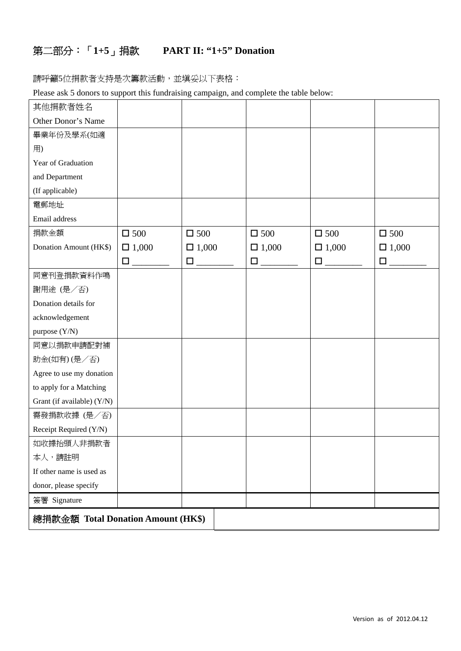# 第二部分:「**1+5**」捐款 **PART II: "1+5" Donation**

請呼籲5位捐款者支持是次籌款活動,並填妥以下表格:

Please ask 5 donors to support this fundraising campaign, and complete the table below:

| 其他捐款者姓名                            |               |               |               |               |               |
|------------------------------------|---------------|---------------|---------------|---------------|---------------|
| Other Donor's Name                 |               |               |               |               |               |
| 畢業年份及學系(如適                         |               |               |               |               |               |
| 用)                                 |               |               |               |               |               |
| Year of Graduation                 |               |               |               |               |               |
| and Department                     |               |               |               |               |               |
| (If applicable)                    |               |               |               |               |               |
| 電郵地址                               |               |               |               |               |               |
| Email address                      |               |               |               |               |               |
| 捐款金額                               | $\square$ 500 | $\square$ 500 | $\square$ 500 | $\square$ 500 | $\square$ 500 |
| Donation Amount (HK\$)             | $\Box$ 1,000  | $\Box$ 1,000  | $\Box$ 1,000  | $\Box$ 1,000  | $\Box$ 1,000  |
|                                    |               | $\square$     |               |               | $\square$     |
| 同意刊登捐款資料作鳴                         |               |               |               |               |               |
| 謝用途 (是/否)                          |               |               |               |               |               |
| Donation details for               |               |               |               |               |               |
| acknowledgement                    |               |               |               |               |               |
| purpose (Y/N)                      |               |               |               |               |               |
| 同意以捐款申請配對補                         |               |               |               |               |               |
| 助金(如有)(是/否)                        |               |               |               |               |               |
| Agree to use my donation           |               |               |               |               |               |
| to apply for a Matching            |               |               |               |               |               |
| Grant (if available) (Y/N)         |               |               |               |               |               |
| 需發捐款收據 (是/否)                       |               |               |               |               |               |
| Receipt Required (Y/N)             |               |               |               |               |               |
| 如收據抬頭人非捐款者                         |               |               |               |               |               |
| 本人,請註明                             |               |               |               |               |               |
| If other name is used as           |               |               |               |               |               |
| donor, please specify              |               |               |               |               |               |
| 簽署 Signature                       |               |               |               |               |               |
| 總捐款金額 Total Donation Amount (HK\$) |               |               |               |               |               |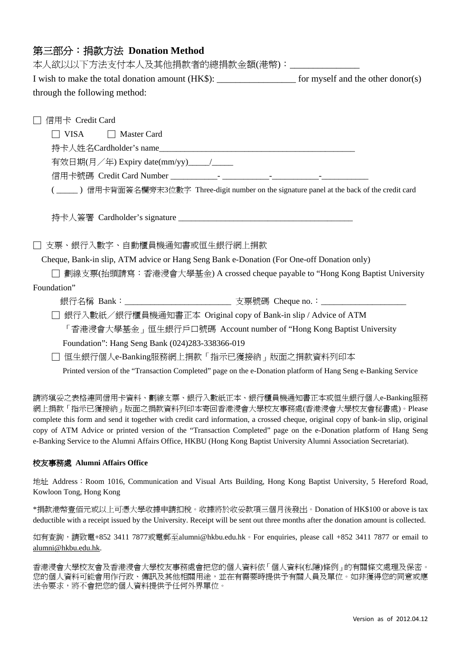### 第三部分:捐款方法 **Donation Method**

本人欲以以下方法支付本人及其他捐款者的總捐款金額(港幣):\_\_\_\_\_\_\_\_\_\_\_\_\_\_\_ I wish to make the total donation amount (HK\$): \_\_\_\_\_\_\_\_\_\_\_\_\_\_\_\_\_\_\_\_ for myself and the other donor(s) through the following method: □ 信用卡 Credit Card □ VISA □ Master Card 持卡人姓名Cardholder's name 有效日期(月/年) Expiry date(mm/yy)\_\_\_\_/\_\_\_\_ 信用卡號碼 Credit Card Number \_\_\_\_\_\_\_\_\_\_\_- \_\_\_\_\_\_\_\_\_\_\_-\_\_\_\_\_\_\_\_\_\_\_-\_\_\_\_\_\_\_\_\_\_\_ ( \_\_\_\_\_ ) 信用卡背面簽名欄旁末3位數字 Three-digit number on the signature panel at the back of the credit card 持卡人簽署 Cardholder's signature \_\_\_\_\_\_\_\_\_\_\_\_\_\_\_\_\_\_\_\_\_\_\_\_\_\_\_\_\_\_\_\_\_\_\_\_\_\_\_\_\_ □ 支票、銀行入數字、自動櫃員機通知書或恒生銀行網上捐款 Cheque, Bank-in slip, ATM advice or Hang Seng Bank e-Donation (For One-off Donation only) □ 劃線支票(抬頭請寫:香港浸會大學基金) A crossed cheque payable to "Hong Kong Baptist University Foundation" 銀行名稱 Bank:\_\_\_\_\_\_\_\_\_\_\_\_\_\_\_\_\_\_\_\_\_\_\_\_\_ 支票號碼 Cheque no.:\_\_\_\_\_\_\_\_\_\_\_\_\_\_\_\_\_\_\_\_ □ 銀行入數紙/銀行櫃員機通知書正本 Original copy of Bank-in slip / Advice of ATM 「香港浸會大學基金」恒生銀行戶口號碼 Account number of "Hong Kong Baptist University Foundation": Hang Seng Bank (024)283-338366-019 □ 恒生銀行個人e-Banking服務網上捐款「指示已獲接納」版面之捐款資料列印本 Printed version of the "Transaction Completed" page on the e-Donation platform of Hang Seng e-Banking Service

請將填妥之表格連同信用卡資料、劃線支票、銀行入數紙正本、銀行櫃員機通知書正本或恒生銀行個人e-Banking服務 網上捐款「指示已獲接納」版面之捐款資料列印本寄回香港浸會大學校友事務處(香港浸會大學校友會秘書處)。Please complete this form and send it together with credit card information, a crossed cheque, original copy of bank-in slip, original copy of ATM Advice or printed version of the "Transaction Completed" page on the e-Donation platform of Hang Seng e-Banking Service to the Alumni Affairs Office, HKBU (Hong Kong Baptist University Alumni Association Secretariat).

#### 校友事務處 **Alumni Affairs Office**

地址 Address: Room 1016, Communication and Visual Arts Building, Hong Kong Baptist University, 5 Hereford Road, Kowloon Tong, Hong Kong

\*捐款港幣壹佰元或以上可憑大學收據申請扣稅。收據將於收妥款項三個月後發出。Donation of HK\$100 or above is tax deductible with a receipt issued by the University. Receipt will be sent out three months after the donation amount is collected.

如有查詢,請致電+852 3411 7877或電郵至alumni@hkbu.edu.hk。For enquiries, please call +852 3411 7877 or email to alumni@hkbu.edu.hk.

香港浸會大學校友會及香港浸會大學校友事務處會把您的個人資料依「個人資料(私隱)條例」的有關條文處理及保密。 您的個人資料可能會用作行政、傳訊及其他相關用途,並在有需要時提供予有關人員及單位。如非獲得您的同意或應 法令要求,將不會把您的個人資料提供予任何外界單位。